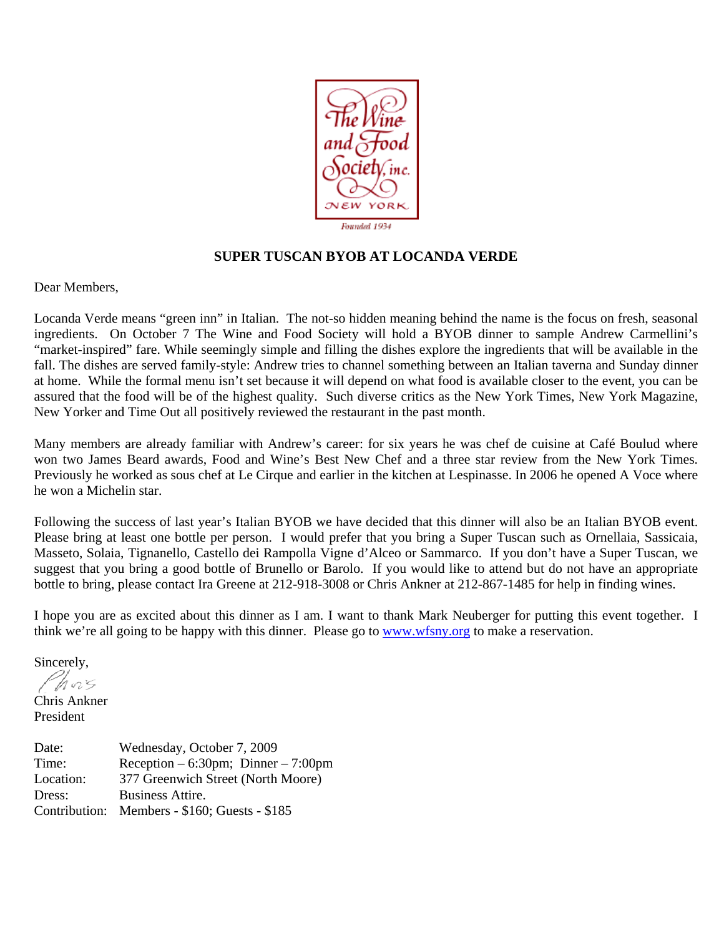

## **SUPER TUSCAN BYOB AT LOCANDA VERDE**

Dear Members,

Locanda Verde means "green inn" in Italian. The not-so hidden meaning behind the name is the focus on fresh, seasonal ingredients. On October 7 The Wine and Food Society will hold a BYOB dinner to sample Andrew Carmellini's "market-inspired" fare. While seemingly simple and filling the dishes explore the ingredients that will be available in the fall. The dishes are served family-style: Andrew tries to channel something between an Italian taverna and Sunday dinner at home. While the formal menu isn't set because it will depend on what food is available closer to the event, you can be assured that the food will be of the highest quality. Such diverse critics as the New York Times, New York Magazine, New Yorker and Time Out all positively reviewed the restaurant in the past month.

Many members are already familiar with Andrew's career: for six years he was chef de cuisine at Café Boulud where won two James Beard awards, Food and Wine's Best New Chef and a three star review from the New York Times. Previously he worked as sous chef at Le Cirque and earlier in the kitchen at Lespinasse. In 2006 he opened A Voce where he won a Michelin star.

Following the success of last year's Italian BYOB we have decided that this dinner will also be an Italian BYOB event. Please bring at least one bottle per person. I would prefer that you bring a Super Tuscan such as Ornellaia, Sassicaia, Masseto, Solaia, Tignanello, Castello dei Rampolla Vigne d'Alceo or Sammarco. If you don't have a Super Tuscan, we suggest that you bring a good bottle of Brunello or Barolo. If you would like to attend but do not have an appropriate bottle to bring, please contact Ira Greene at 212-918-3008 or Chris Ankner at 212-867-1485 for help in finding wines.

I hope you are as excited about this dinner as I am. I want to thank Mark Neuberger for putting this event together. I think we're all going to be happy with this dinner. Please go to www.wfsny.org to make a reservation.

Sincerely,

Nor5

Chris Ankner President

Date: Wednesday, October 7, 2009 Time: Reception – 6:30pm; Dinner – 7:00pm Location: 377 Greenwich Street (North Moore) Dress: Business Attire. Contribution: Members - \$160; Guests - \$185